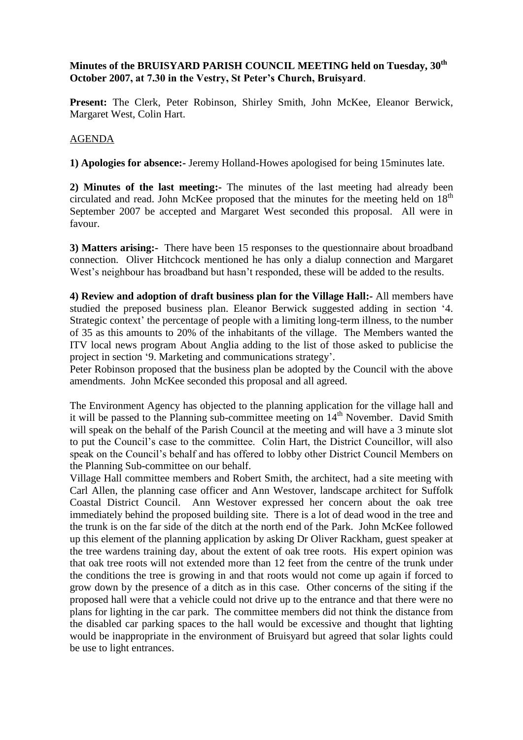## **Minutes of the BRUISYARD PARISH COUNCIL MEETING held on Tuesday, 30th October 2007, at 7.30 in the Vestry, St Peter's Church, Bruisyard**.

**Present:** The Clerk, Peter Robinson, Shirley Smith, John McKee, Eleanor Berwick, Margaret West, Colin Hart.

## AGENDA

**1) Apologies for absence:-** Jeremy Holland-Howes apologised for being 15minutes late.

**2) Minutes of the last meeting:-** The minutes of the last meeting had already been circulated and read. John McKee proposed that the minutes for the meeting held on  $18<sup>th</sup>$ September 2007 be accepted and Margaret West seconded this proposal. All were in favour.

**3) Matters arising:-** There have been 15 responses to the questionnaire about broadband connection. Oliver Hitchcock mentioned he has only a dialup connection and Margaret West's neighbour has broadband but hasn't responded, these will be added to the results.

**4) Review and adoption of draft business plan for the Village Hall:-** All members have studied the preposed business plan. Eleanor Berwick suggested adding in section '4. Strategic context' the percentage of people with a limiting long-term illness, to the number of 35 as this amounts to 20% of the inhabitants of the village. The Members wanted the ITV local news program About Anglia adding to the list of those asked to publicise the project in section '9. Marketing and communications strategy'.

Peter Robinson proposed that the business plan be adopted by the Council with the above amendments. John McKee seconded this proposal and all agreed.

The Environment Agency has objected to the planning application for the village hall and it will be passed to the Planning sub-committee meeting on  $14<sup>th</sup>$  November. David Smith will speak on the behalf of the Parish Council at the meeting and will have a 3 minute slot to put the Council's case to the committee. Colin Hart, the District Councillor, will also speak on the Council's behalf and has offered to lobby other District Council Members on the Planning Sub-committee on our behalf.

Village Hall committee members and Robert Smith, the architect, had a site meeting with Carl Allen, the planning case officer and Ann Westover, landscape architect for Suffolk Coastal District Council. Ann Westover expressed her concern about the oak tree immediately behind the proposed building site. There is a lot of dead wood in the tree and the trunk is on the far side of the ditch at the north end of the Park. John McKee followed up this element of the planning application by asking Dr Oliver Rackham, guest speaker at the tree wardens training day, about the extent of oak tree roots. His expert opinion was that oak tree roots will not extended more than 12 feet from the centre of the trunk under the conditions the tree is growing in and that roots would not come up again if forced to grow down by the presence of a ditch as in this case. Other concerns of the siting if the proposed hall were that a vehicle could not drive up to the entrance and that there were no plans for lighting in the car park. The committee members did not think the distance from the disabled car parking spaces to the hall would be excessive and thought that lighting would be inappropriate in the environment of Bruisyard but agreed that solar lights could be use to light entrances.